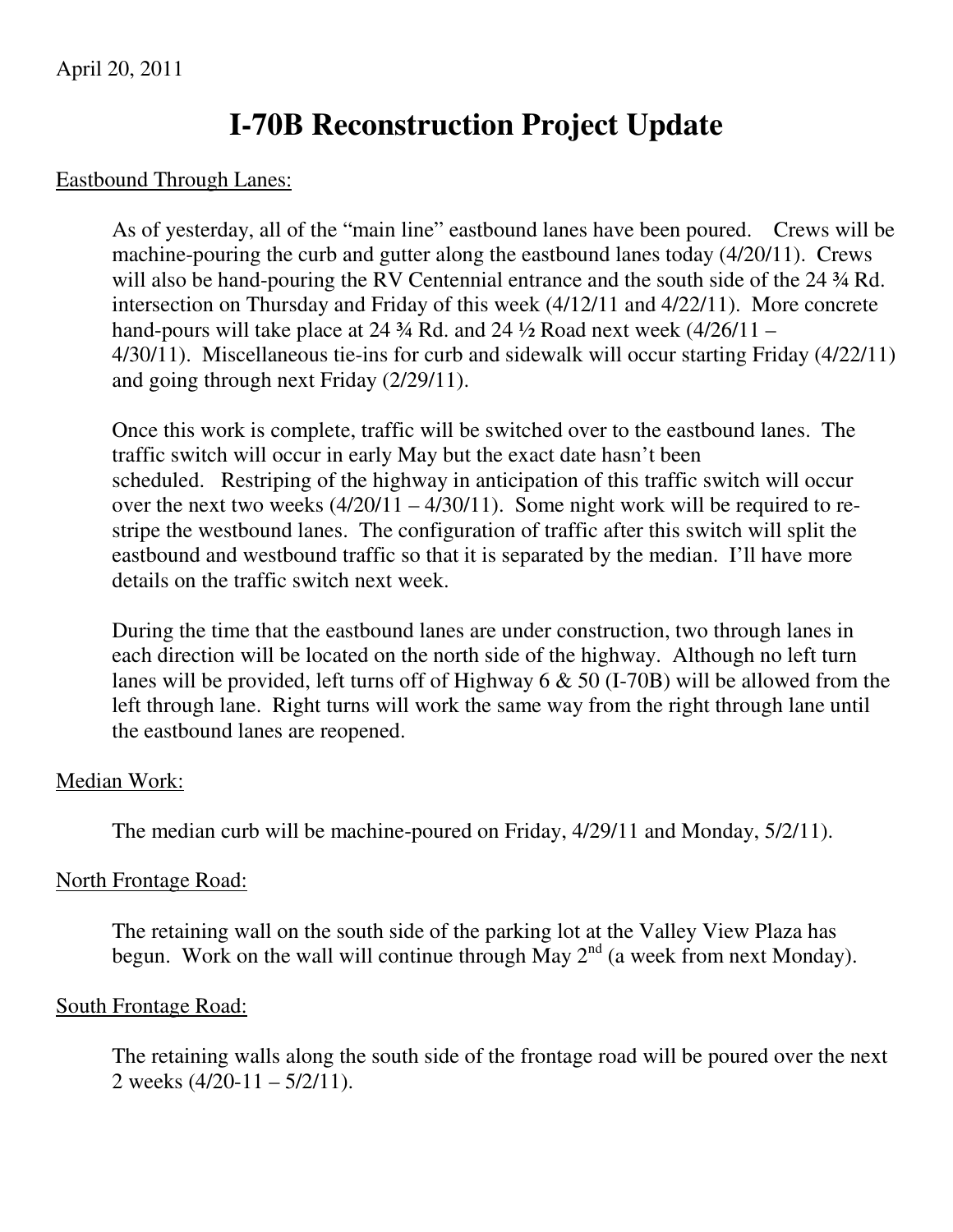# **I-70B Reconstruction Project Update**

#### Eastbound Through Lanes:

As of yesterday, all of the "main line" eastbound lanes have been poured. Crews will be machine-pouring the curb and gutter along the eastbound lanes today (4/20/11). Crews will also be hand-pouring the RV Centennial entrance and the south side of the 24 ¾ Rd. intersection on Thursday and Friday of this week (4/12/11 and 4/22/11). More concrete hand-pours will take place at 24  $\frac{3}{4}$  Rd. and 24  $\frac{1}{2}$  Road next week (4/26/11 – 4/30/11). Miscellaneous tie-ins for curb and sidewalk will occur starting Friday (4/22/11) and going through next Friday (2/29/11).

Once this work is complete, traffic will be switched over to the eastbound lanes. The traffic switch will occur in early May but the exact date hasn't been scheduled. Restriping of the highway in anticipation of this traffic switch will occur over the next two weeks (4/20/11 – 4/30/11). Some night work will be required to restripe the westbound lanes. The configuration of traffic after this switch will split the eastbound and westbound traffic so that it is separated by the median. I'll have more details on the traffic switch next week.

During the time that the eastbound lanes are under construction, two through lanes in each direction will be located on the north side of the highway. Although no left turn lanes will be provided, left turns off of Highway 6 & 50 (I-70B) will be allowed from the left through lane. Right turns will work the same way from the right through lane until the eastbound lanes are reopened.

## Median Work:

The median curb will be machine-poured on Friday, 4/29/11 and Monday, 5/2/11).

## North Frontage Road:

The retaining wall on the south side of the parking lot at the Valley View Plaza has begun. Work on the wall will continue through May  $2<sup>nd</sup>$  (a week from next Monday).

## South Frontage Road:

The retaining walls along the south side of the frontage road will be poured over the next 2 weeks  $(4/20-11 - 5/2/11)$ .